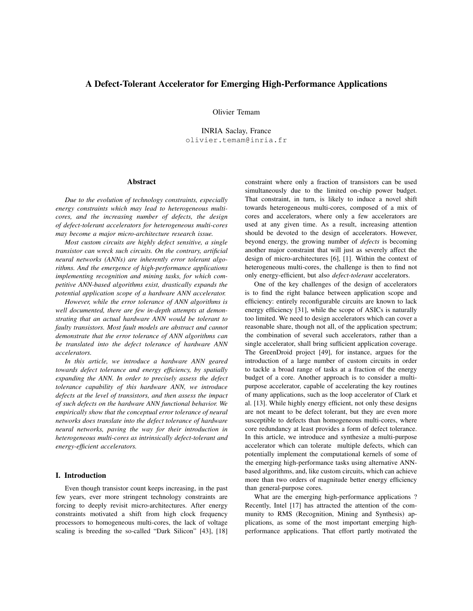# A Defect-Tolerant Accelerator for Emerging High-Performance Applications

Olivier Temam

INRIA Saclay, France olivier.temam@inria.fr

# Abstract

*Due to the evolution of technology constraints, especially energy constraints which may lead to heterogeneous multicores, and the increasing number of defects, the design of defect-tolerant accelerators for heterogeneous multi-cores may become a major micro-architecture research issue.*

*Most custom circuits are highly defect sensitive, a single transistor can wreck such circuits. On the contrary, artificial neural networks (ANNs) are inherently error tolerant algorithms. And the emergence of high-performance applications implementing recognition and mining tasks, for which competitive ANN-based algorithms exist, drastically expands the potential application scope of a hardware ANN accelerator.*

*However, while the error tolerance of ANN algorithms is well documented, there are few in-depth attempts at demonstrating that an actual hardware ANN would be tolerant to faulty transistors. Most fault models are abstract and cannot demonstrate that the error tolerance of ANN algorithms can be translated into the defect tolerance of hardware ANN accelerators.*

*In this article, we introduce a hardware ANN geared towards defect tolerance and energy efficiency, by spatially expanding the ANN. In order to precisely assess the defect tolerance capability of this hardware ANN, we introduce defects at the level of transistors, and then assess the impact of such defects on the hardware ANN functional behavior. We empirically show that the conceptual error tolerance of neural networks does translate into the defect tolerance of hardware neural networks, paving the way for their introduction in heterogeneous multi-cores as intrinsically defect-tolerant and energy-efficient accelerators.*

# I. Introduction

Even though transistor count keeps increasing, in the past few years, ever more stringent technology constraints are forcing to deeply revisit micro-architectures. After energy constraints motivated a shift from high clock frequency processors to homogeneous multi-cores, the lack of voltage scaling is breeding the so-called "Dark Silicon" [43], [18] constraint where only a fraction of transistors can be used simultaneously due to the limited on-chip power budget. That constraint, in turn, is likely to induce a novel shift towards heterogeneous multi-cores, composed of a mix of cores and accelerators, where only a few accelerators are used at any given time. As a result, increasing attention should be devoted to the design of accelerators. However, beyond energy, the growing number of *defects* is becoming another major constraint that will just as severely affect the design of micro-architectures [6], [1]. Within the context of heterogeneous multi-cores, the challenge is then to find not only energy-efficient, but also *defect-tolerant* accelerators.

One of the key challenges of the design of accelerators is to find the right balance between application scope and efficiency: entirely reconfigurable circuits are known to lack energy efficiency [31], while the scope of ASICs is naturally too limited. We need to design accelerators which can cover a reasonable share, though not all, of the application spectrum; the combination of several such accelerators, rather than a single accelerator, shall bring sufficient application coverage. The GreenDroid project [49], for instance, argues for the introduction of a large number of custom circuits in order to tackle a broad range of tasks at a fraction of the energy budget of a core. Another approach is to consider a multipurpose accelerator, capable of accelerating the key routines of many applications, such as the loop accelerator of Clark et al. [13]. While highly energy efficient, not only these designs are not meant to be defect tolerant, but they are even more susceptible to defects than homogeneous multi-cores, where core redundancy at least provides a form of defect tolerance. In this article, we introduce and synthesize a multi-purpose accelerator which can tolerate multiple defects, which can potentially implement the computational kernels of some of the emerging high-performance tasks using alternative ANNbased algorithms, and, like custom circuits, which can achieve more than two orders of magnitude better energy efficiency than general-purpose cores.

What are the emerging high-performance applications ? Recently, Intel [17] has attracted the attention of the community to RMS (Recognition, Mining and Synthesis) applications, as some of the most important emerging highperformance applications. That effort partly motivated the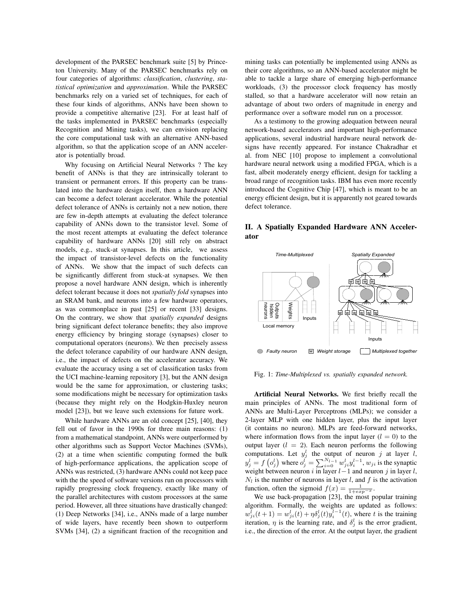development of the PARSEC benchmark suite [5] by Princeton University. Many of the PARSEC benchmarks rely on four categories of algorithms: *classification*, *clustering*, *statistical optimization* and *approximation*. While the PARSEC benchmarks rely on a varied set of techniques, for each of these four kinds of algorithms, ANNs have been shown to provide a competitive alternative [23]. For at least half of the tasks implemented in PARSEC benchmarks (especially Recognition and Mining tasks), we can envision replacing the core computational task with an alternative ANN-based algorithm, so that the application scope of an ANN accelerator is potentially broad.

Why focusing on Artificial Neural Networks ? The key benefit of ANNs is that they are intrinsically tolerant to transient or permanent errors. If this property can be translated into the hardware design itself, then a hardware ANN can become a defect tolerant accelerator. While the potential defect tolerance of ANNs is certainly not a new notion, there are few in-depth attempts at evaluating the defect tolerance capability of ANNs down to the transistor level. Some of the most recent attempts at evaluating the defect tolerance capability of hardware ANNs [20] still rely on abstract models, e.g., stuck-at synapses. In this article, we assess the impact of transistor-level defects on the functionality of ANNs. We show that the impact of such defects can be significantly different from stuck-at synapses. We then propose a novel hardware ANN design, which is inherently defect tolerant because it does not *spatially fold* synapses into an SRAM bank, and neurons into a few hardware operators, as was commonplace in past [25] or recent [33] designs. On the contrary, we show that *spatially expanded* designs bring significant defect tolerance benefits; they also improve energy efficiency by bringing storage (synapses) closer to computational operators (neurons). We then precisely assess the defect tolerance capability of our hardware ANN design, i.e., the impact of defects on the accelerator accuracy. We evaluate the accuracy using a set of classification tasks from the UCI machine-learning repository [3], but the ANN design would be the same for approximation, or clustering tasks; some modifications might be necessary for optimization tasks (because they might rely on the Hodgkin-Huxley neuron model [23]), but we leave such extensions for future work.

While hardware ANNs are an old concept [25], [40], they fell out of favor in the 1990s for three main reasons: (1) from a mathematical standpoint, ANNs were outperformed by other algorithms such as Support Vector Machines (SVMs), (2) at a time when scientific computing formed the bulk of high-performance applications, the application scope of ANNs was restricted, (3) hardware ANNs could not keep pace with the the speed of software versions run on processors with rapidly progressing clock frequency, exactly like many of the parallel architectures with custom processors at the same period. However, all three situations have drastically changed: (1) Deep Networks [34], i.e., ANNs made of a large number of wide layers, have recently been shown to outperform SVMs [34], (2) a significant fraction of the recognition and

mining tasks can potentially be implemented using ANNs as their core algorithms, so an ANN-based accelerator might be able to tackle a large share of emerging high-performance workloads, (3) the processor clock frequency has mostly stalled, so that a hardware accelerator will now retain an advantage of about two orders of magnitude in energy and performance over a software model run on a processor.

As a testimony to the growing adequation between neural network-based accelerators and important high-performance applications, several industrial hardware neural network designs have recently appeared. For instance Chakradhar et al. from NEC [10] propose to implement a convolutional hardware neural network using a modified FPGA, which is a fast, albeit moderately energy efficient, design for tackling a broad range of recognition tasks. IBM has even more recently introduced the Cognitive Chip [47], which is meant to be an energy efficient design, but it is apparently not geared towards defect tolerance.

# II. A Spatially Expanded Hardware ANN Accelerator



Fig. 1: *Time-Multiplexed vs. spatially expanded network.*

Artificial Neural Networks. We first briefly recall the main principles of ANNs. The most traditional form of ANNs are Multi-Layer Perceptrons (MLPs); we consider a 2-layer MLP with one hidden layer, plus the input layer (it contains no neuron). MLPs are feed-forward networks, where information flows from the input layer  $(l = 0)$  to the output layer  $(l = 2)$ . Each neuron performs the following computations. Let  $y_j^l$  the output of neuron *j* at layer *l*,  $y_j^l = f(a_j^l)$  where  $o_j^l = \sum_{i=0}^{N_l-1} w_{ji}^l y_i^{l-1}$ ,  $w_{ji}$  is the synaptic weight between neuron *i* in layer  $l-1$  and neuron *j* in layer  $l$ ,  $N_l$  is the number of neurons in layer *l*, and *f* is the activation function, often the sigmoid  $f(x) = \frac{1}{1 + exp^{-x}}$ .

We use back-propagation [23], the most popular training algorithm. Formally, the weights are updated as follows:  $w_{ji}^l(t+1) = w_{ji}^l(t) + \eta \delta_j^l(t) y_i^{l-1}(t)$ , where *t* is the training iteration,  $\eta$  is the learning rate, and  $\delta_j^l$  is the error gradient, i.e., the direction of the error. At the output layer, the gradient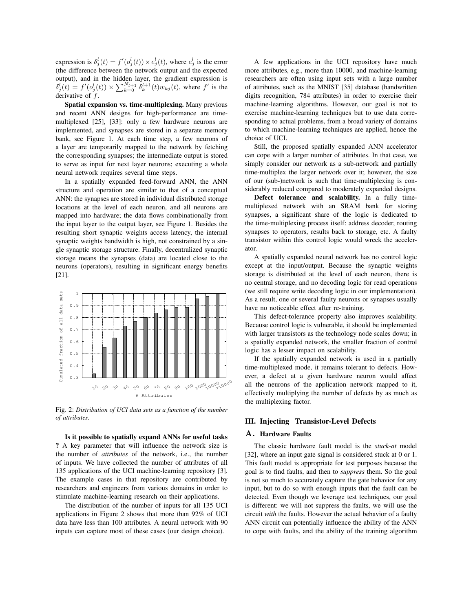expression is  $\delta^l_j(t) = f'(o^l_j(t)) \times e^l_j(t)$ , where  $e^l_j$  is the error (the difference between the network output and the expected output), and in the hidden layer, the gradient expression is  $\delta_j^l(t) = f'(o_j^l(t)) \times \sum_{k=0}^{N_{l+1}} \delta_k^{l+1}(t) w_{kj}(t)$ , where  $f'$  is the derivative of *f*.

Spatial expansion vs. time-multiplexing. Many previous and recent ANN designs for high-performance are timemultiplexed [25], [33]: only a few hardware neurons are implemented, and synapses are stored in a separate memory bank, see Figure 1. At each time step, a few neurons of a layer are temporarily mapped to the network by fetching the corresponding synapses; the intermediate output is stored to serve as input for next layer neurons; executing a whole neural network requires several time steps.

In a spatially expanded feed-forward ANN, the ANN structure and operation are similar to that of a conceptual ANN: the synapses are stored in individual distributed storage locations at the level of each neuron, and all neurons are mapped into hardware; the data flows combinationally from the input layer to the output layer, see Figure 1. Besides the resulting short synaptic weights access latency, the internal synaptic weights bandwidth is high, not constrained by a single synaptic storage structure. Finally, decentralized synaptic storage means the synapses (data) are located close to the neurons (operators), resulting in significant energy benefits [21].



Fig. 2: *Distribution of UCI data sets as a function of the number of attributes.*

Is it possible to spatially expand ANNs for useful tasks ? A key parameter that will influence the network size is the number of *attributes* of the network, i.e., the number of inputs. We have collected the number of attributes of all 135 applications of the UCI machine-learning repository [3]. The example cases in that repository are contributed by researchers and engineers from various domains in order to stimulate machine-learning research on their applications.

The distribution of the number of inputs for all 135 UCI applications in Figure 2 shows that more than 92% of UCI data have less than 100 attributes. A neural network with 90 inputs can capture most of these cases (our design choice).

A few applications in the UCI repository have much more attributes, e.g., more than 10000, and machine-learning researchers are often using input sets with a large number of attributes, such as the MNIST [35] database (handwritten digits recognition, 784 attributes) in order to exercise their machine-learning algorithms. However, our goal is not to exercise machine-learning techniques but to use data corresponding to actual problems, from a broad variety of domains to which machine-learning techniques are applied, hence the choice of UCI.

Still, the proposed spatially expanded ANN accelerator can cope with a larger number of attributes. In that case, we simply consider our network as a sub-network and partially time-multiplex the larger network over it; however, the size of our (sub-)network is such that time-multiplexing is considerably reduced compared to moderately expanded designs.

Defect tolerance and scalability. In a fully timemultiplexed network with an SRAM bank for storing synapses, a significant share of the logic is dedicated to the time-multiplexing process itself: address decoder, routing synapses to operators, results back to storage, etc. A faulty transistor within this control logic would wreck the accelerator.

A spatially expanded neural network has no control logic except at the input/output. Because the synaptic weights storage is distributed at the level of each neuron, there is no central storage, and no decoding logic for read operations (we still require write decoding logic in our implementation). As a result, one or several faulty neurons or synapses usually have no noticeable effect after re-training.

This defect-tolerance property also improves scalability. Because control logic is vulnerable, it should be implemented with larger transistors as the technology node scales down; in a spatially expanded network, the smaller fraction of control logic has a lesser impact on scalability.

If the spatially expanded network is used in a partially time-multiplexed mode, it remains tolerant to defects. However, a defect at a given hardware neuron would affect all the neurons of the application network mapped to it, effectively multiplying the number of defects by as much as the multiplexing factor.

# III. Injecting Transistor-Level Defects

# A. Hardware Faults

The classic hardware fault model is the *stuck-at* model [32], where an input gate signal is considered stuck at 0 or 1. This fault model is appropriate for test purposes because the goal is to find faults, and then to *suppress* them. So the goal is not so much to accurately capture the gate behavior for any input, but to do so with enough inputs that the fault can be detected. Even though we leverage test techniques, our goal is different: we will not suppress the faults, we will use the circuit *with* the faults. However the actual behavior of a faulty ANN circuit can potentially influence the ability of the ANN to cope with faults, and the ability of the training algorithm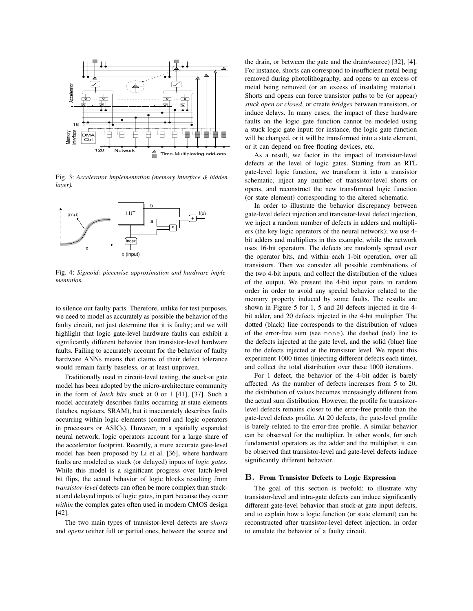

Fig. 3: *Accelerator implementation (memory interface & hidden layer).*



Fig. 4: *Sigmoid: piecewise approximation and hardware implementation.*

to silence out faulty parts. Therefore, unlike for test purposes, we need to model as accurately as possible the behavior of the faulty circuit, not just determine that it is faulty; and we will highlight that logic gate-level hardware faults can exhibit a significantly different behavior than transistor-level hardware faults. Failing to accurately account for the behavior of faulty hardware ANNs means that claims of their defect tolerance would remain fairly baseless, or at least unproven.

Traditionally used in circuit-level testing, the stuck-at gate model has been adopted by the micro-architecture community in the form of *latch bits* stuck at 0 or 1 [41], [37]. Such a model accurately describes faults occurring at state elements (latches, registers, SRAM), but it inaccurately describes faults occurring within logic elements (control and logic operators in processors or ASICs). However, in a spatially expanded neural network, logic operators account for a large share of the accelerator footprint. Recently, a more accurate gate-level model has been proposed by Li et al. [36], where hardware faults are modeled as stuck (or delayed) inputs of *logic gates*. While this model is a significant progress over latch-level bit flips, the actual behavior of logic blocks resulting from *transistor-level* defects can often be more complex than stuckat and delayed inputs of logic gates, in part because they occur *within* the complex gates often used in modern CMOS design [42].

The two main types of transistor-level defects are *shorts* and *opens* (either full or partial ones, between the source and

the drain, or between the gate and the drain/source) [32], [4]. For instance, shorts can correspond to insufficient metal being removed during photolithography, and opens to an excess of metal being removed (or an excess of insulating material). Shorts and opens can force transistor paths to be (or appear) *stuck open or closed*, or create *bridges* between transistors, or induce delays. In many cases, the impact of these hardware faults on the logic gate function cannot be modeled using a stuck logic gate input: for instance, the logic gate function will be changed, or it will be transformed into a state element, or it can depend on free floating devices, etc.

As a result, we factor in the impact of transistor-level defects at the level of logic gates. Starting from an RTL gate-level logic function, we transform it into a transistor schematic, inject any number of transistor-level shorts or opens, and reconstruct the new transformed logic function (or state element) corresponding to the altered schematic.

In order to illustrate the behavior discrepancy between gate-level defect injection and transistor-level defect injection, we inject a random number of defects in adders and multipliers (the key logic operators of the neural network); we use 4 bit adders and multipliers in this example, while the network uses 16-bit operators. The defects are randomly spread over the operator bits, and within each 1-bit operation, over all transistors. Then we consider all possible combinations of the two 4-bit inputs, and collect the distribution of the values of the output. We present the 4-bit input pairs in random order in order to avoid any special behavior related to the memory property induced by some faults. The results are shown in Figure 5 for 1, 5 and 20 defects injected in the 4 bit adder, and 20 defects injected in the 4-bit multiplier. The dotted (black) line corresponds to the distribution of values of the error-free sum (see none), the dashed (red) line to the defects injected at the gate level, and the solid (blue) line to the defects injected at the transistor level. We repeat this experiment 1000 times (injecting different defects each time), and collect the total distribution over these 1000 iterations.

For 1 defect, the behavior of the 4-bit adder is barely affected. As the number of defects increases from 5 to 20, the distribution of values becomes increasingly different from the actual sum distribution. However, the profile for transistorlevel defects remains closer to the error-free profile than the gate-level defects profile. At 20 defects, the gate-level profile is barely related to the error-free profile. A similar behavior can be observed for the multiplier. In other words, for such fundamental operators as the adder and the multiplier, it can be observed that transistor-level and gate-level defects induce significantly different behavior.

#### B. From Transistor Defects to Logic Expression

The goal of this section is twofold: to illustrate why transistor-level and intra-gate defects can induce significantly different gate-level behavior than stuck-at gate input defects, and to explain how a logic function (or state element) can be reconstructed after transistor-level defect injection, in order to emulate the behavior of a faulty circuit.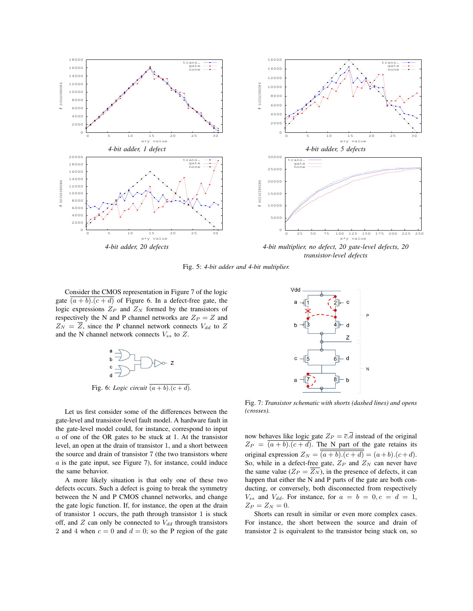

Fig. 5: *4-bit adder and 4-bit multiplier.*

Consider the CMOS representation in Figure 7 of the logic gate  $(a + b)$ *.* $(c + d)$  of Figure 6. In a defect-free gate, the logic expressions  $Z_P$  and  $Z_N$  formed by the transistors of respectively the N and P channel networks are  $Z_P = Z$  and  $Z_N = \overline{Z}$ , since the P channel network connects  $V_{dd}$  to  $Z$ and the N channel network connects *Vss* to *Z*.



Fig. 6: *Logic circuit*  $\overline{(a+b).(c+d)}$ *.* 

Let us first consider some of the differences between the gate-level and transistor-level fault model. A hardware fault in the gate-level model could, for instance, correspond to input *a* of one of the OR gates to be stuck at 1. At the transistor level, an open at the drain of transistor 1, and a short between the source and drain of transistor 7 (the two transistors where *a* is the gate input, see Figure 7), for instance, could induce the same behavior.

A more likely situation is that only one of these two defects occurs. Such a defect is going to break the symmetry between the N and P CMOS channel networks, and change the gate logic function. If, for instance, the open at the drain of transistor 1 occurs, the path through transistor 1 is stuck off, and  $Z$  can only be connected to  $V_{dd}$  through transistors 2 and 4 when  $c = 0$  and  $d = 0$ ; so the P region of the gate



Fig. 7: *Transistor schematic with shorts (dashed lines) and opens (crosses).*

now behaves like logic gate  $Z_P = \overline{c} \cdot \overline{d}$  instead of the original  $Z_P = (a + b) \cdot (c + d)$ . The N part of the gate retains its original expression  $Z_N = \overline{(a+b).(c+d)} = (a+b).(c+d)$ . So, while in a defect-free gate,  $Z_P$  and  $Z_N$  can never have the same value ( $Z_P = \overline{Z_N}$ ), in the presence of defects, it can happen that either the N and P parts of the gate are both conducting, or conversely, both disconnected from respectively  $V_{ss}$  and  $V_{dd}$ . For instance, for  $a = b = 0, c = d = 1$ ,  $Z_P = Z_N = 0.$ 

Shorts can result in similar or even more complex cases. For instance, the short between the source and drain of transistor 2 is equivalent to the transistor being stuck on, so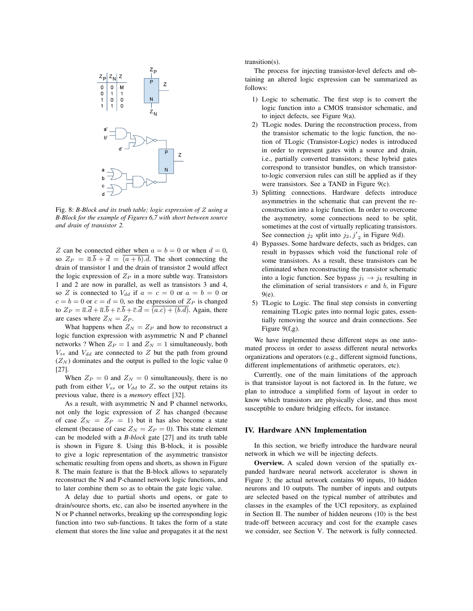

Fig. 8: *B-Block and its truth table; logic expression of Z using a B-Block for the example of Figures 6,7 with short between source and drain of transistor 2.*

*Z* can be connected either when  $a = b = 0$  or when  $d = 0$ , so  $Z_P = \overline{a} \cdot \overline{b} + \overline{d} = \overline{(a+b)} \cdot \overline{d}$ . The short connecting the drain of transistor 1 and the drain of transistor 2 would affect the logic expression of  $Z_P$  in a more subtle way. Transistors 1 and 2 are now in parallel, as well as transistors 3 and 4, so *Z* is connected to  $V_{dd}$  if  $a = c = 0$  or  $a = b = 0$  or  $c = b = 0$  or  $c = d = 0$ , so the expression of  $Z_P$  is changed to  $Z_P = \overline{a} \cdot \overline{d} + \overline{a} \cdot \overline{b} + \overline{c} \cdot \overline{b} + \overline{c} \cdot \overline{d} = \overline{(a.c) + (b.d)}$ . Again, there are cases where  $Z_N = Z_P$ .

What happens when  $Z_N = Z_P$  and how to reconstruct a logic function expression with asymmetric N and P channel networks ? When  $Z_P = 1$  and  $Z_N = 1$  simultaneously, both *Vss* and *Vdd* are connected to *Z* but the path from ground  $(Z_N)$  dominates and the output is pulled to the logic value 0 [27].

When  $Z_P = 0$  and  $Z_N = 0$  simultaneously, there is no path from either  $V_{ss}$  or  $V_{dd}$  to  $Z$ , so the output retains its previous value, there is a *memory* effect [32].

As a result, with asymmetric N and P channel networks, not only the logic expression of *Z* has changed (because of case  $Z_N = Z_P = 1$ ) but it has also become a state element (because of case  $Z_N = Z_P = 0$ ). This state element can be modeled with a *B-block* gate [27] and its truth table is shown in Figure 8. Using this B-block, it is possible to give a logic representation of the asymmetric transistor schematic resulting from opens and shorts, as shown in Figure 8. The main feature is that the B-block allows to separately reconstruct the N and P-channel network logic functions, and to later combine them so as to obtain the gate logic value.

A delay due to partial shorts and opens, or gate to drain/source shorts, etc, can also be inserted anywhere in the N or P channel networks, breaking up the corresponding logic function into two sub-functions. It takes the form of a state element that stores the line value and propagates it at the next transition(s).

The process for injecting transistor-level defects and obtaining an altered logic expression can be summarized as follows:

- 1) Logic to schematic. The first step is to convert the logic function into a CMOS transistor schematic, and to inject defects, see Figure 9(a).
- 2) TLogic nodes. During the reconstruction process, from the transistor schematic to the logic function, the notion of TLogic (Transistor-Logic) nodes is introduced in order to represent gates with a source and drain, i.e., partially converted transistors; these hybrid gates correspond to transistor bundles, on which transistorto-logic conversion rules can still be applied as if they were transistors. See a TAND in Figure 9(c).
- 3) Splitting connections. Hardware defects introduce asymmetries in the schematic that can prevent the reconstruction into a logic function. In order to overcome the asymmetry, some connections need to be split, sometimes at the cost of virtually replicating transistors. See connection  $j_2$  split into  $j_2$ ,  $j'_2$  in Figure 9(d).
- 4) Bypasses. Some hardware defects, such as bridges, can result in bypasses which void the functional role of some transistors. As a result, these transistors can be eliminated when reconstructing the transistor schematic into a logic function. See bypass  $j_1 \rightarrow j_4$  resulting in the elimination of serial transistors *e* and *b*, in Figure 9(e).
- 5) TLogic to Logic. The final step consists in converting remaining TLogic gates into normal logic gates, essentially removing the source and drain connections. See Figure 9(f,g).

We have implemented these different steps as one automated process in order to assess different neural networks organizations and operators (e.g., different sigmoid functions, different implementations of arithmetic operators, etc).

Currently, one of the main limitations of the approach is that transistor layout is not factored in. In the future, we plan to introduce a simplified form of layout in order to know which transistors are physically close, and thus most susceptible to endure bridging effects, for instance.

#### IV. Hardware ANN Implementation

In this section, we briefly introduce the hardware neural network in which we will be injecting defects.

Overview. A scaled down version of the spatially expanded hardware neural network accelerator is shown in Figure 3; the actual network contains 90 inputs, 10 hidden neurons and 10 outputs. The number of inputs and outputs are selected based on the typical number of attributes and classes in the examples of the UCI repository, as explained in Section II. The number of hidden neurons (10) is the best trade-off between accuracy and cost for the example cases we consider, see Section V. The network is fully connected.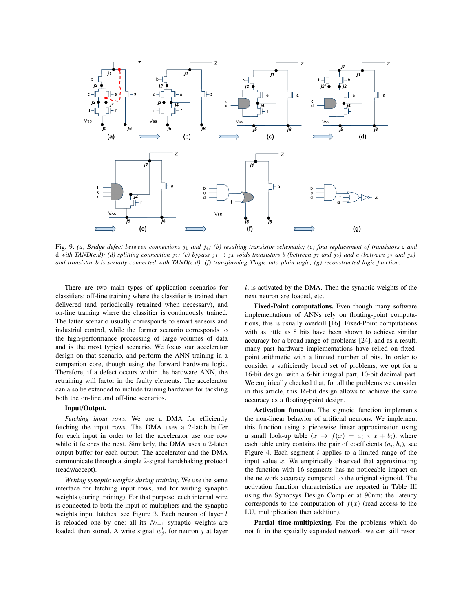

Fig. 9: *(a) Bridge defect between connections j*<sup>1</sup> *and j*4*; (b) resulting transistor schematic; (c) first replacement of transistors* c *and* d with TAND(c,d); (d) splitting connection  $j_2$ ; (e) bypass  $j_1 \rightarrow j_4$  voids transistors b (between  $j_7$  and  $j_2$ ) and e (between  $j_2$  and  $j_4$ ), *and transistor b is serially connected with TAND(c,d); (f) transforming Tlogic into plain logic; (g) reconstructed logic function.*

There are two main types of application scenarios for classifiers: off-line training where the classifier is trained then delivered (and periodically retrained when necessary), and on-line training where the classifier is continuously trained. The latter scenario usually corresponds to smart sensors and industrial control, while the former scenario corresponds to the high-performance processing of large volumes of data and is the most typical scenario. We focus our accelerator design on that scenario, and perform the ANN training in a companion core, though using the forward hardware logic. Therefore, if a defect occurs within the hardware ANN, the retraining will factor in the faulty elements. The accelerator can also be extended to include training hardware for tackling both the on-line and off-line scenarios.

#### Input/Output.

*Fetching input rows.* We use a DMA for efficiently fetching the input rows. The DMA uses a 2-latch buffer for each input in order to let the accelerator use one row while it fetches the next. Similarly, the DMA uses a 2-latch output buffer for each output. The accelerator and the DMA communicate through a simple 2-signal handshaking protocol (ready/accept).

*Writing synaptic weights during training.* We use the same interface for fetching input rows, and for writing synaptic weights (during training). For that purpose, each internal wire is connected to both the input of multipliers and the synaptic weights input latches, see Figure 3. Each neuron of layer *l* is reloaded one by one: all its  $N_{l-1}$  synaptic weights are loaded, then stored. A write signal  $w_j^l$ , for neuron *j* at layer

*l*, is activated by the DMA. Then the synaptic weights of the next neuron are loaded, etc.

Fixed-Point computations. Even though many software implementations of ANNs rely on floating-point computations, this is usually overkill [16]. Fixed-Point computations with as little as 8 bits have been shown to achieve similar accuracy for a broad range of problems [24], and as a result, many past hardware implementations have relied on fixedpoint arithmetic with a limited number of bits. In order to consider a sufficiently broad set of problems, we opt for a 16-bit design, with a 6-bit integral part, 10-bit decimal part. We empirically checked that, for all the problems we consider in this article, this 16-bit design allows to achieve the same accuracy as a floating-point design.

Activation function. The sigmoid function implements the non-linear behavior of artificial neurons. We implement this function using a piecewise linear approximation using a small look-up table  $(x \rightarrow f(x)) = a_i \times x + b_i$ , where each table entry contains the pair of coefficients  $(a_i, b_i)$ , see Figure 4. Each segment *i* applies to a limited range of the input value *x*. We empirically observed that approximating the function with 16 segments has no noticeable impact on the network accuracy compared to the original sigmoid. The activation function characteristics are reported in Table III using the Synopsys Design Compiler at 90nm; the latency corresponds to the computation of  $f(x)$  (read access to the LU, multiplication then addition).

Partial time-multiplexing. For the problems which do not fit in the spatially expanded network, we can still resort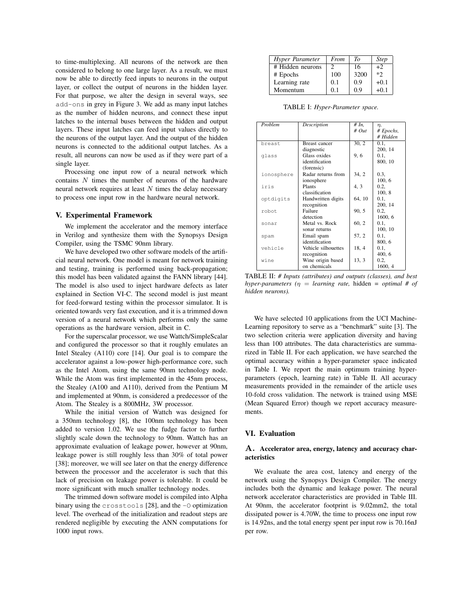to time-multiplexing. All neurons of the network are then considered to belong to one large layer. As a result, we must now be able to directly feed inputs to neurons in the output layer, or collect the output of neurons in the hidden layer. For that purpose, we alter the design in several ways, see add-ons in grey in Figure 3. We add as many input latches as the number of hidden neurons, and connect these input latches to the internal buses between the hidden and output layers. These input latches can feed input values directly to the neurons of the output layer. And the output of the hidden neurons is connected to the additional output latches. As a result, all neurons can now be used as if they were part of a single layer.

Processing one input row of a neural network which contains *N* times the number of neurons of the hardware neural network requires at least *N* times the delay necessary to process one input row in the hardware neural network.

# V. Experimental Framework

We implement the accelerator and the memory interface in Verilog and synthesize them with the Synopsys Design Compiler, using the TSMC 90nm library.

We have developed two other software models of the artificial neural network. One model is meant for network training and testing, training is performed using back-propagation; this model has been validated against the FANN library [44]. The model is also used to inject hardware defects as later explained in Section VI-C. The second model is just meant for feed-forward testing within the processor simulator. It is oriented towards very fast execution, and it is a trimmed down version of a neural network which performs only the same operations as the hardware version, albeit in C.

For the superscalar processor, we use Wattch/SimpleScalar and configured the processor so that it roughly emulates an Intel Stealey (A110) core [14]. Our goal is to compare the accelerator against a low-power high-performance core, such as the Intel Atom, using the same 90nm technology node. While the Atom was first implemented in the 45nm process, the Stealey (A100 and A110), derived from the Pentium M and implemented at 90nm, is considered a predecessor of the Atom. The Stealey is a 800MHz, 3W processor.

While the initial version of Wattch was designed for a 350nm technology [8], the 100nm technology has been added to version 1.02. We use the fudge factor to further slightly scale down the technology to 90nm. Wattch has an approximate evaluation of leakage power, however at 90nm, leakage power is still roughly less than 30% of total power [38]; moreover, we will see later on that the energy difference between the processor and the accelerator is such that this lack of precision on leakage power is tolerable. It could be more significant with much smaller technology nodes.

The trimmed down software model is compiled into Alpha binary using the crosstools [28], and the -O optimization level. The overhead of the initialization and readout steps are rendered negligible by executing the ANN computations for 1000 input rows.

| Hyper Parameter  | From | Ŧо   | <b>Step</b> |
|------------------|------|------|-------------|
| # Hidden neurons |      | 16   | $+2$        |
| # Epochs         | 100  | 3200 | $*$         |
| Learning rate    | 0.1  | 0.9  | $+0.1$      |
| Momentum         | 0.1  | 0.9  | $+0.1$      |

TABLE I: *Hyper-Parameter space.*

| Problem    | Description         | # In.   | $\eta$ ,  |
|------------|---------------------|---------|-----------|
|            |                     | # $Out$ | # Epochs, |
|            |                     |         | # Hidden  |
| breast     | Breast cancer       | 30, 2   | 0.1,      |
|            | diagnostic          |         | 200, 14   |
| glass      | Glass oxides        | 9.6     | 0.1,      |
|            | identification      |         | 800, 10   |
|            | (forensic)          |         |           |
| ionosphere | Radar returns from  | 34, 2   | 0.3,      |
|            | ionosphere          |         | 100, 6    |
| iris       | Plants              | 4, 3    | 0.2.      |
|            | classification      |         | 100, 8    |
| optdigits  | Handwritten digits  | 64, 10  | 0.1,      |
|            | recognition         |         | 200, 14   |
| robot      | Failure             | 90, 5   | 0.2,      |
|            | detection           |         | 1600, 6   |
| sonar      | Metal vs. Rock      | 60, 2   | 0.1,      |
|            | sonar returns       |         | 100, 10   |
| spam       | Email spam          | 57, 2   | 0.1,      |
|            | identification      |         | 800, 6    |
| vehicle    | Vehicle silhouettes | 18, 4   | 0.1,      |
|            | recognition         |         | 400, 6    |
| wine       | Wine origin based   | 13, 3   | 0.2,      |
|            | on chemicals        |         | 1600, 4   |

TABLE II: *# Inputs (attributes) and outputs (classes), and best hyper-parameters* ( $\eta$  = *learning rate,* hidden = *optimal # of hidden neurons).*

We have selected 10 applications from the UCI Machine-Learning repository to serve as a "benchmark" suite [3]. The two selection criteria were application diversity and having less than 100 attributes. The data characteristics are summarized in Table II. For each application, we have searched the optimal accuracy within a hyper-parameter space indicated in Table I. We report the main optimum training hyperparameters (epoch, learning rate) in Table II. All accuracy measurements provided in the remainder of the article uses 10-fold cross validation. The network is trained using MSE (Mean Squared Error) though we report accuracy measurements.

### VI. Evaluation

### A. Accelerator area, energy, latency and accuracy characteristics

We evaluate the area cost, latency and energy of the network using the Synopsys Design Compiler. The energy includes both the dynamic and leakage power. The neural network accelerator characteristics are provided in Table III. At 90nm, the accelerator footprint is 9.02mm2, the total dissipated power is 4.70W, the time to process one input row is 14.92ns, and the total energy spent per input row is 70.16nJ per row.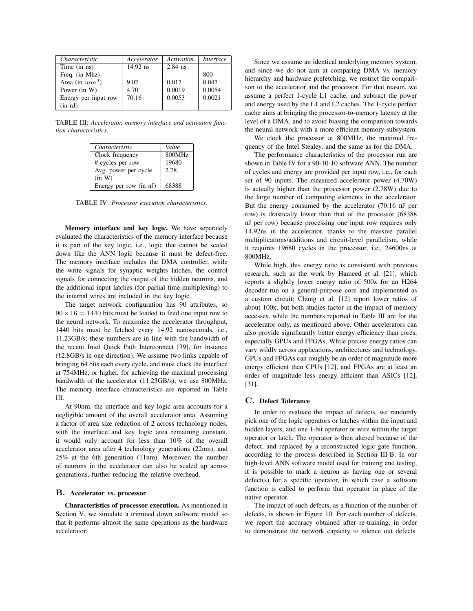| <i>Characteristic</i> | Accelerator | Activation | <i>Interface</i> |
|-----------------------|-------------|------------|------------------|
| Time $(in \; ns)$     | $14.92$ ns  | $2.84$ ns  |                  |
| Freq. (in Mhz)        |             |            | 800              |
| Area (in $mm^2$ )     | 9.02        | 0.017      | 0.047            |
| Power $(in W)$        | 4.70        | 0.0019     | 0.0054           |
| Energy per input row  | 70.16       | 0.0053     | 0.0021           |
| (in nJ)               |             |            |                  |

TABLE III: *Accelerator, memory interface and activation function characteristics.*

| Characteristic         | Value  |
|------------------------|--------|
| Clock frequency        | 800MHz |
| # cycles per row       | 19680  |
| Avg. power per cycle   | 2.78   |
| (in W)                 |        |
| Energy per row (in nJ) | 68388  |

TABLE IV: *Processor execution characteristics.*

Memory interface and key logic. We have separately evaluated the characteristics of the memory interface because it is part of the key logic, i.e., logic that cannot be scaled down like the ANN logic because it must be defect-free. The memory interface includes the DMA controller, while the write signals for synaptic weights latches, the control signals for connecting the output of the hidden neurons, and the additional input latches (for partial time-multiplexing) to the internal wires are included in the key logic.

The target network configuration has 90 attributes, so  $90 \times 16 = 1440$  bits must be loaded to feed one input row to the neural network. To maximize the accelerator throughput, 1440 bits must be fetched every 14.92 nanoseconds, i.e., 11.23GB/s; these numbers are in line with the bandwidth of the recent Intel Quick Path Interconnect [39], for instance (12.8GB/s in one direction). We assume two links capable of bringing 64 bits each every cycle, and must clock the interface at 754MHz, or higher, for achieving the maximal processing bandwidth of the accelerator (11.23GB/s); we use 800MHz. The memory interface characteristics are reported in Table III.

At 90nm, the interface and key logic area accounts for a negligible amount of the overall accelerator area. Assuming a factor of area size reduction of 2 across technology nodes, with the interface and key logic area remaining constant, it would only account for less than 10% of the overall accelerator area after 4 technology generations (22nm), and 25% at the 6th generation (11nm). Moreover, the number of neurons in the accelerator can also be scaled up across generations, further reducing the relative overhead.

### B. Accelerator vs. processor

Characteristics of processor execution. As mentioned in Section V, we simulate a trimmed down software model so that it performs almost the same operations as the hardware accelerator.

Since we assume an identical underlying memory system, and since we do not aim at comparing DMA vs. memory hierarchy and hardware prefetching, we restrict the comparison to the accelerator and the processor. For that reason, we assume a perfect 1-cycle L1 cache, and subtract the power and energy used by the L1 and L2 caches. The 1-cycle perfect cache aims at bringing the processor-to-memory latency at the level of a DMA, and to avoid biasing the comparison towards the neural network with a more efficient memory subsystem.

We clock the processor at 800MHz, the maximal frequency of the Intel Stealey, and the same as for the DMA.

The performance characteristics of the processor run are shown in Table IV for a 90-10-10 software ANN. The number of cycles and energy are provided per input row, i.e., for each set of 90 inputs. The measured accelerator power (4.70W) is actually higher than the processor power (2.78W) due to the large number of computing elements in the accelerator. But the energy consumed by the accelerator (70.16 nJ per row) is drastically lower than that of the processor (68388 nJ per row) because processing one input row requires only 14.92ns in the accelerator, thanks to the massive parallel multiplications/additions and circuit-level parallelism, while it requires 19680 cycles in the processor, i.e., 24600ns at 800MHz.

While high, this energy ratio is consistent with previous research, such as the work by Hameed et al. [21], which reports a slightly lower energy ratio of 500x for an H264 decoder run on a general-purpose core and implemented as a custom circuit; Chung et al. [12] report lower ratios of about 100x, but both studies factor in the impact of memory accesses, while the numbers reported in Table III are for the accelerator only, as mentioned above. Other accelerators can also provide significantly better energy efficiency than cores, especially GPUs and FPGAs. While precise energy ratios can vary wildly across applications, architectures and technology, GPUs and FPGAs can roughly be an order of magnitude more energy efficient than CPUs [12], and FPGAs are at least an order of magnitude less energy efficient than ASICs [12], [31].

#### C. Defect Tolerance

In order to evaluate the impact of defects, we randomly pick one of the logic operators or latches within the input and hidden layers, and one 1-bit operator or wire within the target operator or latch. The operator is then altered because of the defect, and replaced by a reconstructed logic gate function, according to the process described in Section III-B. In our high-level ANN software model used for training and testing, it is possible to mark a neuron as having one or several defect(s) for a specific operator, in which case a software function is called to perform that operator in place of the native operator.

The impact of such defects, as a function of the number of defects, is shown in Figure 10. For each number of defects, we report the accuracy obtained after re-training, in order to demonstrate the network capacity to silence out defects.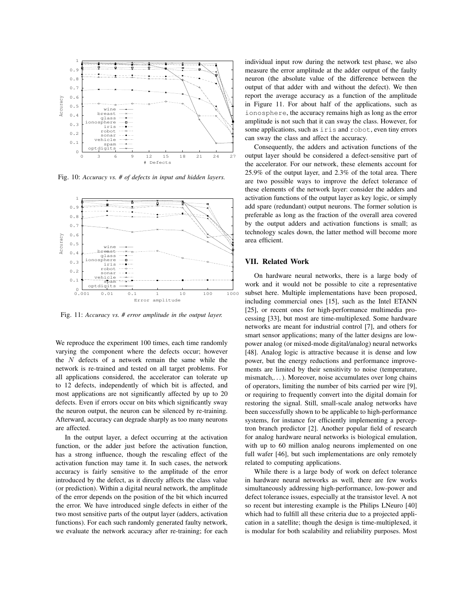

Fig. 10: *Accuracy vs. # of defects in input and hidden layers.*



Fig. 11: *Accuracy vs. # error amplitude in the output layer.*

We reproduce the experiment 100 times, each time randomly varying the component where the defects occur; however the *N* defects of a network remain the same while the network is re-trained and tested on all target problems. For all applications considered, the accelerator can tolerate up to 12 defects, independently of which bit is affected, and most applications are not significantly affected by up to 20 defects. Even if errors occur on bits which significantly sway the neuron output, the neuron can be silenced by re-training. Afterward, accuracy can degrade sharply as too many neurons are affected.

In the output layer, a defect occurring at the activation function, or the adder just before the activation function, has a strong influence, though the rescaling effect of the activation function may tame it. In such cases, the network accuracy is fairly sensitive to the amplitude of the error introduced by the defect, as it directly affects the class value (or prediction). Within a digital neural network, the amplitude of the error depends on the position of the bit which incurred the error. We have introduced single defects in either of the two most sensitive parts of the output layer (adders, activation functions). For each such randomly generated faulty network, we evaluate the network accuracy after re-training; for each individual input row during the network test phase, we also measure the error amplitude at the adder output of the faulty neuron (the absolute value of the difference between the output of that adder with and without the defect). We then report the average accuracy as a function of the amplitude in Figure 11. For about half of the applications, such as ionosphere, the accuracy remains high as long as the error amplitude is not such that it can sway the class. However, for some applications, such as iris and robot, even tiny errors can sway the class and affect the accuracy.

Consequently, the adders and activation functions of the output layer should be considered a defect-sensitive part of the accelerator. For our network, these elements account for 25.9% of the output layer, and 2.3% of the total area. There are two possible ways to improve the defect tolerance of these elements of the network layer: consider the adders and activation functions of the output layer as key logic, or simply add spare (redundant) output neurons. The former solution is preferable as long as the fraction of the overall area covered by the output adders and activation functions is small; as technology scales down, the latter method will become more area efficient.

### VII. Related Work

On hardware neural networks, there is a large body of work and it would not be possible to cite a representative subset here. Multiple implementations have been proposed, including commercial ones [15], such as the Intel ETANN [25], or recent ones for high-performance multimedia processing [33], but most are time-multiplexed. Some hardware networks are meant for industrial control [7], and others for smart sensor applications; many of the latter designs are lowpower analog (or mixed-mode digital/analog) neural networks [48]. Analog logic is attractive because it is dense and low power, but the energy reductions and performance improvements are limited by their sensitivity to noise (temperature, mismatch,. . . ). Moreover, noise accumulates over long chains of operators, limiting the number of bits carried per wire [9], or requiring to frequently convert into the digital domain for restoring the signal. Still, small-scale analog networks have been successfully shown to be applicable to high-performance systems, for instance for efficiently implementing a perceptron branch predictor [2]. Another popular field of research for analog hardware neural networks is biological emulation, with up to 60 million analog neurons implemented on one full wafer [46], but such implementations are only remotely related to computing applications.

While there is a large body of work on defect tolerance in hardware neural networks as well, there are few works simultaneously addressing high-performance, low-power and defect tolerance issues, especially at the transistor level. A not so recent but interesting example is the Philips LNeuro [40] which had to fulfill all these criteria due to a projected application in a satellite; though the design is time-multiplexed, it is modular for both scalability and reliability purposes. Most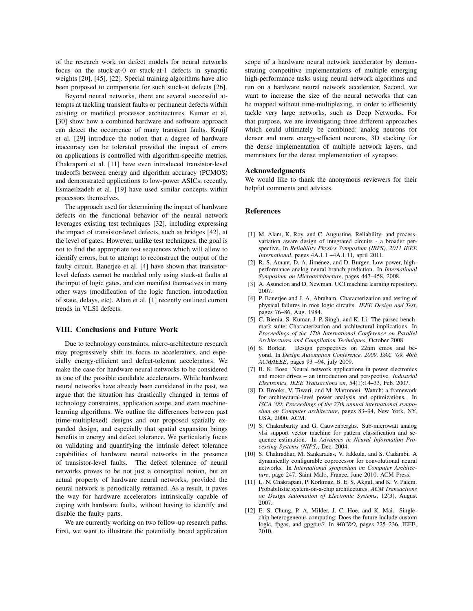of the research work on defect models for neural networks focus on the stuck-at-0 or stuck-at-1 defects in synaptic weights [20], [45], [22]. Special training algorithms have also been proposed to compensate for such stuck-at defects [26].

Beyond neural networks, there are several successful attempts at tackling transient faults or permanent defects within existing or modified processor architectures. Kumar et al. [30] show how a combined hardware and software approach can detect the occurrence of many transient faults. Kruijf et al. [29] introduce the notion that a degree of hardware inaccuracy can be tolerated provided the impact of errors on applications is controlled with algorithm-specific metrics. Chakrapani et al. [11] have even introduced transistor-level tradeoffs between energy and algorithm accuracy (PCMOS) and demonstrated applications to low-power ASICs; recently, Esmaeilzadeh et al. [19] have used similar concepts within processors themselves.

The approach used for determining the impact of hardware defects on the functional behavior of the neural network leverages existing test techniques [32], including expressing the impact of transistor-level defects, such as bridges [42], at the level of gates. However, unlike test techniques, the goal is not to find the appropriate test sequences which will allow to identify errors, but to attempt to reconstruct the output of the faulty circuit. Banerjee et al. [4] have shown that transistorlevel defects cannot be modeled only using stuck-at faults at the input of logic gates, and can manifest themselves in many other ways (modification of the logic function, introduction of state, delays, etc). Alam et al. [1] recently outlined current trends in VLSI defects.

#### VIII. Conclusions and Future Work

Due to technology constraints, micro-architecture research may progressively shift its focus to accelerators, and especially energy-efficient and defect-tolerant accelerators. We make the case for hardware neural networks to be considered as one of the possible candidate accelerators. While hardware neural networks have already been considered in the past, we argue that the situation has drastically changed in terms of technology constraints, application scope, and even machinelearning algorithms. We outline the differences between past (time-multiplexed) designs and our proposed spatially expanded design, and especially that spatial expansion brings benefits in energy and defect tolerance. We particularly focus on validating and quantifying the intrinsic defect tolerance capabilities of hardware neural networks in the presence of transistor-level faults. The defect tolerance of neural networks proves to be not just a conceptual notion, but an actual property of hardware neural networks, provided the neural network is periodically retrained. As a result, it paves the way for hardware accelerators intrinsically capable of coping with hardware faults, without having to identify and disable the faulty parts.

We are currently working on two follow-up research paths. First, we want to illustrate the potentially broad application

scope of a hardware neural network accelerator by demonstrating competitive implementations of multiple emerging high-performance tasks using neural network algorithms and run on a hardware neural network accelerator. Second, we want to increase the size of the neural networks that can be mapped without time-multiplexing, in order to efficiently tackle very large networks, such as Deep Networks. For that purpose, we are investigating three different approaches which could ultimately be combined: analog neurons for denser and more energy-efficient neurons, 3D stacking for the dense implementation of multiple network layers, and memristors for the dense implementation of synapses.

# Acknowledgments

We would like to thank the anonymous reviewers for their helpful comments and advices.

### References

- [1] M. Alam, K. Roy, and C. Augustine. Reliability- and processvariation aware design of integrated circuits - a broader perspective. In *Reliability Physics Symposium (IRPS), 2011 IEEE International*, pages 4A.1.1 –4A.1.11, april 2011.
- [2] R. S. Amant, D. A. Jiménez, and D. Burger. Low-power, highperformance analog neural branch prediction. In *International Symposium on Microarchitecture*, pages 447–458, 2008.
- [3] A. Asuncion and D. Newman. UCI machine learning repository, 2007.
- [4] P. Banerjee and J. A. Abraham. Characterization and testing of physical failures in mos logic circuits. *IEEE Design and Test*, pages 76–86, Aug. 1984.
- [5] C. Bienia, S. Kumar, J. P. Singh, and K. Li. The parsec benchmark suite: Characterization and architectural implications. In *Proceedings of the 17th International Conference on Parallel Architectures and Compilation Techniques*, October 2008.
- [6] S. Borkar. Design perspectives on 22nm cmos and beyond. In *Design Automation Conference, 2009. DAC '09. 46th ACM/IEEE*, pages 93 –94, july 2009.
- [7] B. K. Bose. Neural network applications in power electronics and motor drives – an introduction and perspective. *Industrial Electronics, IEEE Transactions on*, 54(1):14–33, Feb. 2007.
- [8] D. Brooks, V. Tiwari, and M. Martonosi. Wattch: a framework for architectural-level power analysis and optimizations. In *ISCA '00: Proceedings of the 27th annual international symposium on Computer architecture*, pages 83–94, New York, NY, USA, 2000. ACM.
- [9] S. Chakrabartty and G. Cauwenberghs. Sub-microwatt analog vlsi support vector machine for pattern classification and sequence estimation. In *Advances in Neural Information Processing Systems (NIPS)*, Dec. 2004.
- [10] S. Chakradhar, M. Sankaradas, V. Jakkula, and S. Cadambi. A dynamically configurable coprocessor for convolutional neural networks. In *International symposium on Computer Architecture*, page 247, Saint Malo, France, June 2010. ACM Press.
- [11] L. N. Chakrapani, P. Korkmaz, B. E. S. Akgul, and K. V. Palem. Probabilistic system-on-a-chip architectures. *ACM Transactions on Design Automation of Electronic Systems*, 12(3), August 2007.
- [12] E. S. Chung, P. A. Milder, J. C. Hoe, and K. Mai. Singlechip heterogeneous computing: Does the future include custom logic, fpgas, and gpgpus? In *MICRO*, pages 225–236. IEEE, 2010.